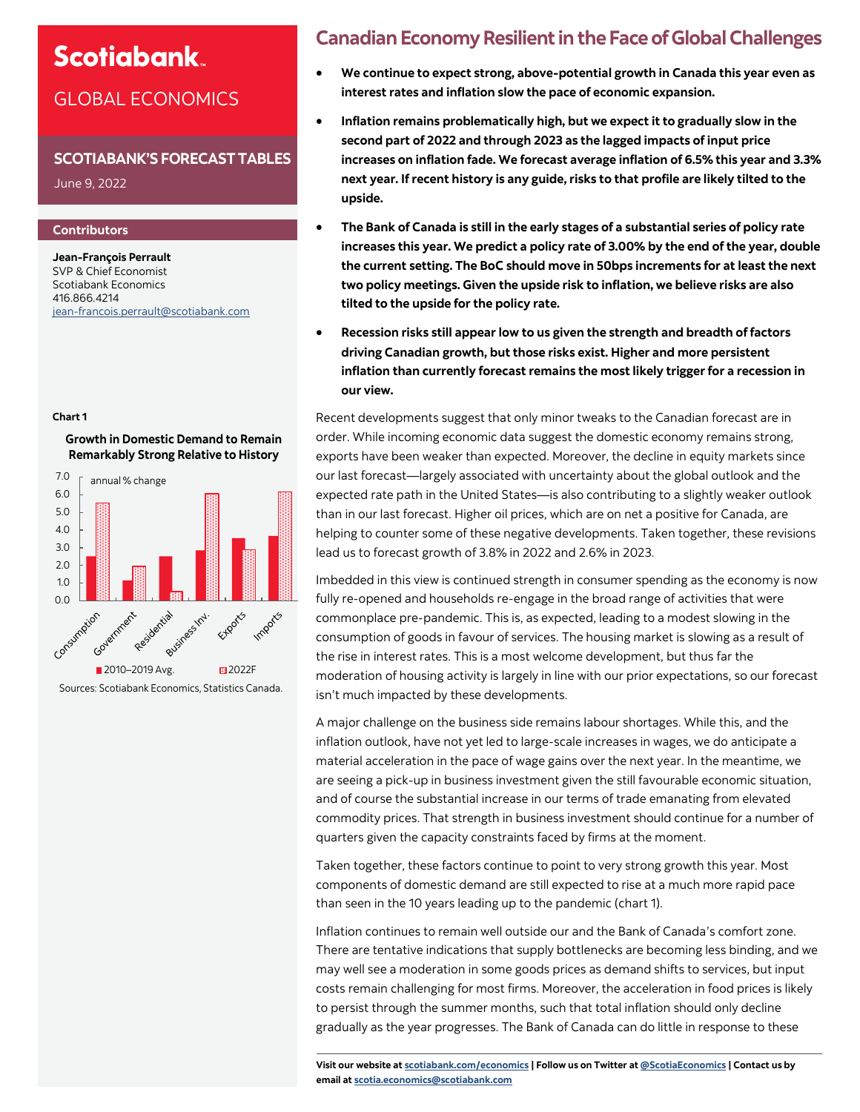# **Scotiabank**

## GLOBAL ECONOMICS

#### **SCOTIABANK'S FORECAST TABLES**

June 9, 2022

#### **Contributors**

**Jean-François Perrault** SVP & Chief Economist Scotiabank Economics 416.866.4214 jean-[francois.perrault@scotiabank.com](mailto:jean-francois.perrault@scotiabank.com)

#### **Chart 1**





## **Canadian Economy Resilient in the Face of Global Challenges**

- **We continue to expect strong, above-potential growth in Canada this year even as interest rates and inflation slow the pace of economic expansion.**
- **Inflation remains problematically high, but we expect it to gradually slow in the second part of 2022 and through 2023 as the lagged impacts of input price increases on inflation fade. We forecast average inflation of 6.5% this year and 3.3% next year. If recent history is any guide, risks to that profile are likely tilted to the upside.**
- **The Bank of Canada is still in the early stages of a substantial series of policy rate increases this year. We predict a policy rate of 3.00% by the end of the year, double the current setting. The BoC should move in 50bps increments for at least the next two policy meetings. Given the upside risk to inflation, we believe risks are also tilted to the upside for the policy rate.**
- **Recession risks still appear low to us given the strength and breadth of factors driving Canadian growth, but those risks exist. Higher and more persistent inflation than currently forecast remains the most likely trigger for a recession in our view.**

Recent developments suggest that only minor tweaks to the Canadian forecast are in order. While incoming economic data suggest the domestic economy remains strong, exports have been weaker than expected. Moreover, the decline in equity markets since our last forecast—largely associated with uncertainty about the global outlook and the expected rate path in the United States—is also contributing to a slightly weaker outlook than in our last forecast. Higher oil prices, which are on net a positive for Canada, are helping to counter some of these negative developments. Taken together, these revisions lead us to forecast growth of 3.8% in 2022 and 2.6% in 2023.

Imbedded in this view is continued strength in consumer spending as the economy is now fully re-opened and households re-engage in the broad range of activities that were commonplace pre-pandemic. This is, as expected, leading to a modest slowing in the consumption of goods in favour of services. The housing market is slowing as a result of the rise in interest rates. This is a most welcome development, but thus far the moderation of housing activity is largely in line with our prior expectations, so our forecast isn't much impacted by these developments.

A major challenge on the business side remains labour shortages. While this, and the inflation outlook, have not yet led to large-scale increases in wages, we do anticipate a material acceleration in the pace of wage gains over the next year. In the meantime, we are seeing a pick-up in business investment given the still favourable economic situation, and of course the substantial increase in our terms of trade emanating from elevated commodity prices. That strength in business investment should continue for a number of quarters given the capacity constraints faced by firms at the moment.

Taken together, these factors continue to point to very strong growth this year. Most components of domestic demand are still expected to rise at a much more rapid pace than seen in the 10 years leading up to the pandemic (chart 1).

Inflation continues to remain well outside our and the Bank of Canada's comfort zone. There are tentative indications that supply bottlenecks are becoming less binding, and we may well see a moderation in some goods prices as demand shifts to services, but input costs remain challenging for most firms. Moreover, the acceleration in food prices is likely to persist through the summer months, such that total inflation should only decline gradually as the year progresses. The Bank of Canada can do little in response to these

**Visit our website at [scotiabank.com/economics](https://www.scotiabank.com/ca/en/about/global-economics/economics-publications.html) | Follow us on Twitter at [@ScotiaEconomics](https://twitter.com/ScotiaEconomics) | Contact us by email at scotia.economics@scotiabank.com**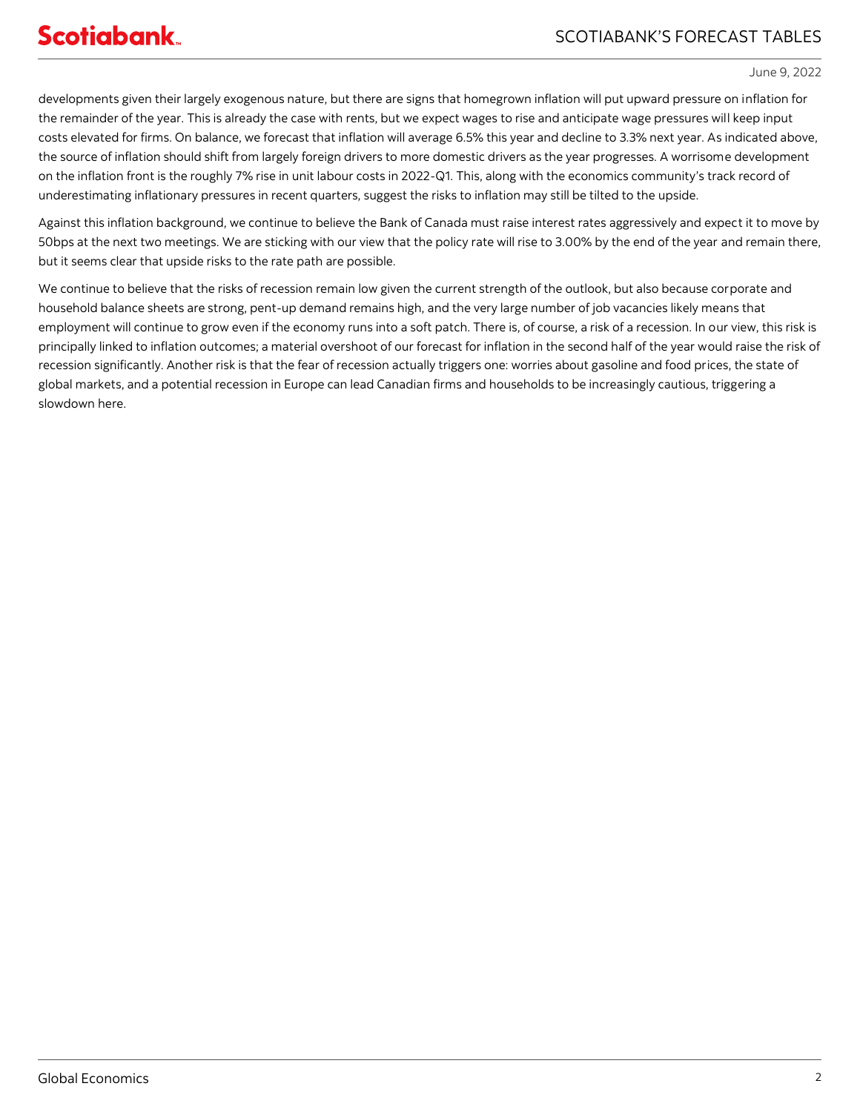June 9, 2022

developments given their largely exogenous nature, but there are signs that homegrown inflation will put upward pressure on inflation for the remainder of the year. This is already the case with rents, but we expect wages to rise and anticipate wage pressures will keep input costs elevated for firms. On balance, we forecast that inflation will average 6.5% this year and decline to 3.3% next year. As indicated above, the source of inflation should shift from largely foreign drivers to more domestic drivers as the year progresses. A worrisome development on the inflation front is the roughly 7% rise in unit labour costs in 2022-Q1. This, along with the economics community's track record of underestimating inflationary pressures in recent quarters, suggest the risks to inflation may still be tilted to the upside.

Against this inflation background, we continue to believe the Bank of Canada must raise interest rates aggressively and expect it to move by 50bps at the next two meetings. We are sticking with our view that the policy rate will rise to 3.00% by the end of the year and remain there, but it seems clear that upside risks to the rate path are possible.

We continue to believe that the risks of recession remain low given the current strength of the outlook, but also because corporate and household balance sheets are strong, pent-up demand remains high, and the very large number of job vacancies likely means that employment will continue to grow even if the economy runs into a soft patch. There is, of course, a risk of a recession. In our view, this risk is principally linked to inflation outcomes; a material overshoot of our forecast for inflation in the second half of the year would raise the risk of recession significantly. Another risk is that the fear of recession actually triggers one: worries about gasoline and food prices, the state of global markets, and a potential recession in Europe can lead Canadian firms and households to be increasingly cautious, triggering a slowdown here.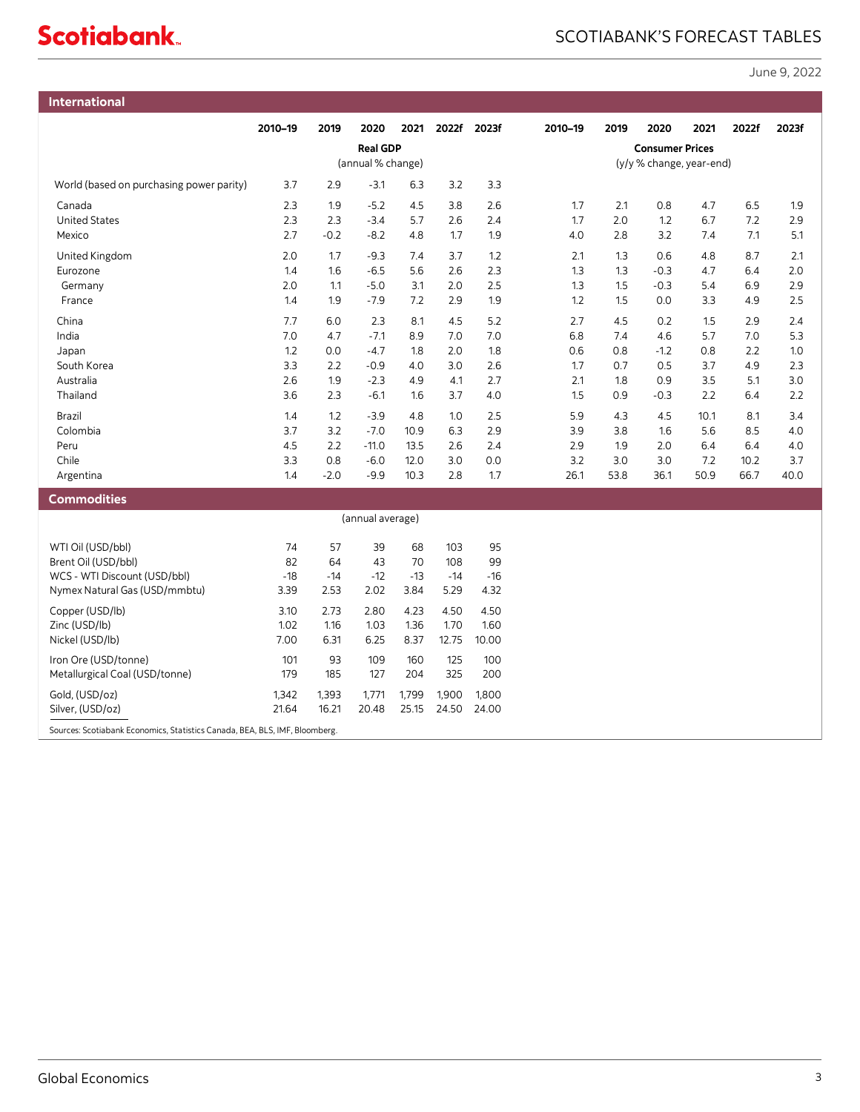## SCOTIABANK'S FORECAST TABLES

June 9, 2022

| <b>Scotiabank</b> |  |
|-------------------|--|
|                   |  |

| <b>International</b>                                                        |            |                   |                  |            |            |             |            |                          |                        |            |            |            |
|-----------------------------------------------------------------------------|------------|-------------------|------------------|------------|------------|-------------|------------|--------------------------|------------------------|------------|------------|------------|
|                                                                             | 2010-19    | 2019              | 2020             | 2021       |            | 2022f 2023f | 2010-19    | 2019                     | 2020                   | 2021       | 2022f      | 2023f      |
|                                                                             |            |                   | <b>Real GDP</b>  |            |            |             |            |                          | <b>Consumer Prices</b> |            |            |            |
|                                                                             |            | (annual % change) |                  |            |            |             |            | (y/y % change, year-end) |                        |            |            |            |
| World (based on purchasing power parity)                                    | 3.7        | 2.9               | $-3.1$           | 6.3        | 3.2        | 3.3         |            |                          |                        |            |            |            |
|                                                                             |            |                   |                  |            |            |             |            |                          |                        |            |            |            |
| Canada<br><b>United States</b>                                              | 2.3<br>2.3 | 1.9<br>2.3        | $-5.2$<br>$-3.4$ | 4.5<br>5.7 | 3.8<br>2.6 | 2.6<br>2.4  | 1.7<br>1.7 | 2.1<br>2.0               | 0.8<br>1.2             | 4.7<br>6.7 | 6.5<br>7.2 | 1.9<br>2.9 |
| Mexico                                                                      | 2.7        | $-0.2$            | $-8.2$           | 4.8        | 1.7        | 1.9         | 4.0        | 2.8                      | 3.2                    | 7.4        | 7.1        | 5.1        |
|                                                                             |            |                   |                  |            |            |             |            |                          |                        |            |            |            |
| United Kingdom<br>Eurozone                                                  | 2.0<br>1.4 | 1.7<br>1.6        | $-9.3$<br>$-6.5$ | 7.4<br>5.6 | 3.7<br>2.6 | 1.2<br>2.3  | 2.1<br>1.3 | 1.3<br>1.3               | 0.6<br>$-0.3$          | 4.8<br>4.7 | 8.7<br>6.4 | 2.1<br>2.0 |
| Germany                                                                     | 2.0        | 1.1               | $-5.0$           | 3.1        | 2.0        | 2.5         | 1.3        | 1.5                      | $-0.3$                 | 5.4        | 6.9        | 2.9        |
| France                                                                      | 1.4        | 1.9               | $-7.9$           | 7.2        | 2.9        | 1.9         | 1.2        | 1.5                      | 0.0                    | 3.3        | 4.9        | 2.5        |
| China                                                                       | 7.7        | 6.0               | 2.3              | 8.1        | 4.5        | 5.2         | 2.7        | 4.5                      | 0.2                    | 1.5        | 2.9        | 2.4        |
| India                                                                       | 7.0        | 4.7               | $-7.1$           | 8.9        | $7.0$      | 7.0         | 6.8        | 7.4                      | 4.6                    | 5.7        | 7.0        | 5.3        |
| Japan                                                                       | 1.2        | 0.0               | $-4.7$           | 1.8        | 2.0        | 1.8         | 0.6        | 0.8                      | $-1.2$                 | 0.8        | 2.2        | 1.0        |
| South Korea                                                                 | 3.3        | 2.2               | $-0.9$           | 4.0        | 3.0        | 2.6         | 1.7        | 0.7                      | 0.5                    | 3.7        | 4.9        | 2.3        |
| Australia                                                                   | 2.6        | 1.9               | $-2.3$           | 4.9        | 4.1        | 2.7         | 2.1        | 1.8                      | 0.9                    | 3.5        | 5.1        | 3.0        |
| Thailand                                                                    | 3.6        | 2.3               | $-6.1$           | 1.6        | 3.7        | 4.0         | 1.5        | 0.9                      | $-0.3$                 | 2.2        | 6.4        | 2.2        |
| <b>Brazil</b>                                                               | 1.4        | 1.2               | $-3.9$           | 4.8        | 1.0        | 2.5         | 5.9        | 4.3                      | 4.5                    | 10.1       | 8.1        | 3.4        |
| Colombia                                                                    | 3.7        | 3.2               | $-7.0$           | 10.9       | 6.3        | 2.9         | 3.9        | 3.8                      | 1.6                    | 5.6        | 8.5        | 4.0        |
| Peru                                                                        | 4.5        | 2.2               | $-11.0$          | 13.5       | 2.6        | 2.4         | 2.9        | 1.9                      | 2.0                    | 6.4        | 6.4        | 4.0        |
| Chile                                                                       | 3.3        | 0.8               | $-6.0$           | 12.0       | 3.0        | 0.0         | 3.2        | 3.0                      | 3.0                    | 7.2        | 10.2       | 3.7        |
| Argentina                                                                   | 1.4        | $-2.0$            | $-9.9$           | 10.3       | 2.8        | 1.7         | 26.1       | 53.8                     | 36.1                   | 50.9       | 66.7       | 40.0       |
| <b>Commodities</b>                                                          |            |                   |                  |            |            |             |            |                          |                        |            |            |            |
|                                                                             |            |                   | (annual average) |            |            |             |            |                          |                        |            |            |            |
| WTI Oil (USD/bbl)                                                           | 74         | 57                | 39               | 68         | 103        | 95          |            |                          |                        |            |            |            |
| Brent Oil (USD/bbl)                                                         | 82         | 64                | 43               | 70         | 108        | 99          |            |                          |                        |            |            |            |
| WCS - WTI Discount (USD/bbl)                                                | $-18$      | $-14$             | $-12$            | $-13$      | $-14$      | $-16$       |            |                          |                        |            |            |            |
| Nymex Natural Gas (USD/mmbtu)                                               | 3.39       | 2.53              | 2.02             | 3.84       | 5.29       | 4.32        |            |                          |                        |            |            |            |
| Copper (USD/lb)                                                             | 3.10       | 2.73              | 2.80             | 4.23       | 4.50       | 4.50        |            |                          |                        |            |            |            |
| Zinc (USD/lb)                                                               | 1.02       | 1.16              | 1.03             | 1.36       | 1.70       | 1.60        |            |                          |                        |            |            |            |
| Nickel (USD/lb)                                                             | 7.00       | 6.31              | 6.25             | 8.37       | 12.75      | 10.00       |            |                          |                        |            |            |            |
| Iron Ore (USD/tonne)                                                        | 101        | 93                | 109              | 160        | 125        | 100         |            |                          |                        |            |            |            |
| Metallurgical Coal (USD/tonne)                                              | 179        | 185               | 127              | 204        | 325        | 200         |            |                          |                        |            |            |            |
| Gold, (USD/oz)                                                              | 1,342      | 1,393             | 1,771            | 1,799      | 1,900      | 1,800       |            |                          |                        |            |            |            |
| Silver, (USD/oz)                                                            | 21.64      | 16.21             | 20.48            | 25.15      | 24.50      | 24.00       |            |                          |                        |            |            |            |
| Sources: Scotiabank Economics, Statistics Canada, BEA, BLS, IMF, Bloomberg. |            |                   |                  |            |            |             |            |                          |                        |            |            |            |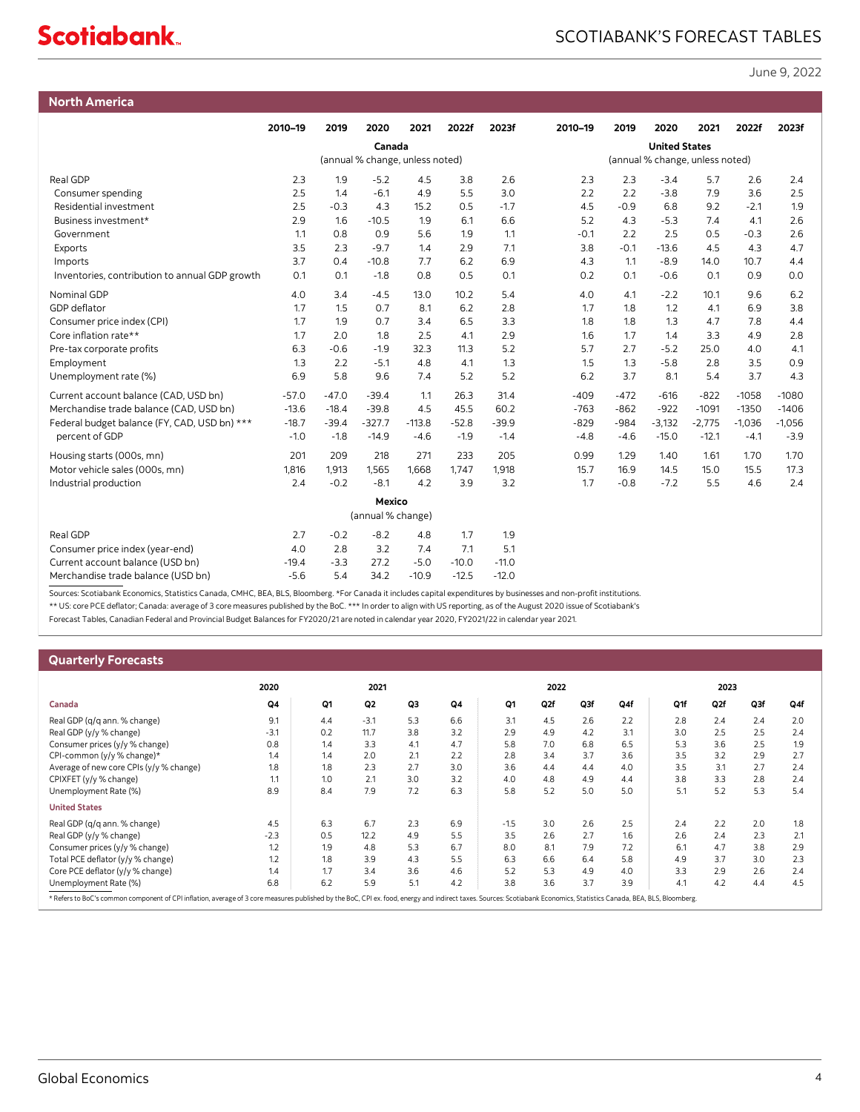## SCOTIABANK'S FORECAST TABLES

# **Scotiabank**

June 9, 2022

| <b>North America</b>                           |         |         |                   |                                                                    |         |         |                      |        |          |          |          |          |  |  |
|------------------------------------------------|---------|---------|-------------------|--------------------------------------------------------------------|---------|---------|----------------------|--------|----------|----------|----------|----------|--|--|
|                                                | 2010-19 | 2019    | 2020              | 2021                                                               | 2022f   | 2023f   | 2010-19              | 2019   | 2020     | 2021     | 2022f    | 2023f    |  |  |
|                                                |         |         | Canada            |                                                                    |         |         | <b>United States</b> |        |          |          |          |          |  |  |
|                                                |         |         |                   | (annual % change, unless noted)<br>(annual % change, unless noted) |         |         |                      |        |          |          |          |          |  |  |
| Real GDP                                       | 2.3     | 1.9     | $-5.2$            | 4.5                                                                | 3.8     | 2.6     | 2.3                  | 2.3    | $-3.4$   | 5.7      | 2.6      | 2.4      |  |  |
| Consumer spending                              | 2.5     | 1.4     | $-6.1$            | 4.9                                                                | 5.5     | 3.0     | 2.2                  | 2.2    | $-3.8$   | 7.9      | 3.6      | 2.5      |  |  |
| Residential investment                         | 2.5     | $-0.3$  | 4.3               | 15.2                                                               | 0.5     | $-1.7$  | 4.5                  | $-0.9$ | 6.8      | 9.2      | $-2.1$   | 1.9      |  |  |
| Business investment*                           | 2.9     | 1.6     | $-10.5$           | 1.9                                                                | 6.1     | 6.6     | 5.2                  | 4.3    | $-5.3$   | 7.4      | 4.1      | 2.6      |  |  |
| Government                                     | 1.1     | 0.8     | 0.9               | 5.6                                                                | 1.9     | 1.1     | $-0.1$               | 2.2    | 2.5      | 0.5      | $-0.3$   | 2.6      |  |  |
| Exports                                        | 3.5     | 2.3     | $-9.7$            | 1.4                                                                | 2.9     | 7.1     | 3.8                  | $-0.1$ | $-13.6$  | 4.5      | 4.3      | 4.7      |  |  |
| Imports                                        | 3.7     | 0.4     | $-10.8$           | 7.7                                                                | 6.2     | 6.9     | 4.3                  | 1.1    | $-8.9$   | 14.0     | 10.7     | 4.4      |  |  |
| Inventories, contribution to annual GDP growth | 0.1     | 0.1     | $-1.8$            | 0.8                                                                | 0.5     | 0.1     | 0.2                  | 0.1    | $-0.6$   | 0.1      | 0.9      | 0.0      |  |  |
| Nominal GDP                                    | 4.0     | 3.4     | $-4.5$            | 13.0                                                               | 10.2    | 5.4     | 4.0                  | 4.1    | $-2.2$   | 10.1     | 9.6      | 6.2      |  |  |
| GDP deflator                                   | 1.7     | 1.5     | 0.7               | 8.1                                                                | 6.2     | 2.8     | 1.7                  | 1.8    | 1.2      | 4.1      | 6.9      | 3.8      |  |  |
| Consumer price index (CPI)                     | 1.7     | 1.9     | 0.7               | 3.4                                                                | 6.5     | 3.3     | 1.8                  | 1.8    | 1.3      | 4.7      | 7.8      | 4.4      |  |  |
| Core inflation rate**                          | 1.7     | 2.0     | 1.8               | 2.5                                                                | 4.1     | 2.9     | 1.6                  | 1.7    | 1.4      | 3.3      | 4.9      | 2.8      |  |  |
| Pre-tax corporate profits                      | 6.3     | $-0.6$  | $-1.9$            | 32.3                                                               | 11.3    | 5.2     | 5.7                  | 2.7    | $-5.2$   | 25.0     | 4.0      | 4.1      |  |  |
| Employment                                     | 1.3     | 2.2     | $-5.1$            | 4.8                                                                | 4.1     | 1.3     | 1.5                  | 1.3    | $-5.8$   | 2.8      | 3.5      | 0.9      |  |  |
| Unemployment rate (%)                          | 6.9     | 5.8     | 9.6               | 7.4                                                                | 5.2     | 5.2     | 6.2                  | 3.7    | 8.1      | 5.4      | 3.7      | 4.3      |  |  |
| Current account balance (CAD, USD bn)          | $-57.0$ | $-47.0$ | $-39.4$           | 1.1                                                                | 26.3    | 31.4    | $-409$               | $-472$ | $-616$   | $-822$   | $-1058$  | $-1080$  |  |  |
| Merchandise trade balance (CAD, USD bn)        | $-13.6$ | $-18.4$ | $-39.8$           | 4.5                                                                | 45.5    | 60.2    | $-763$               | $-862$ | $-922$   | $-1091$  | $-1350$  | $-1406$  |  |  |
| Federal budget balance (FY, CAD, USD bn) ***   | $-18.7$ | $-39.4$ | $-327.7$          | $-113.8$                                                           | $-52.8$ | $-39.9$ | $-829$               | $-984$ | $-3,132$ | $-2,775$ | $-1,036$ | $-1,056$ |  |  |
| percent of GDP                                 | $-1.0$  | $-1.8$  | $-14.9$           | $-4.6$                                                             | $-1.9$  | $-1.4$  | $-4.8$               | $-4.6$ | $-15.0$  | $-12.1$  | $-4.1$   | $-3.9$   |  |  |
| Housing starts (000s, mn)                      | 201     | 209     | 218               | 271                                                                | 233     | 205     | 0.99                 | 1.29   | 1.40     | 1.61     | 1.70     | 1.70     |  |  |
| Motor vehicle sales (000s, mn)                 | 1,816   | 1,913   | 1,565             | 1,668                                                              | 1,747   | 1,918   | 15.7                 | 16.9   | 14.5     | 15.0     | 15.5     | 17.3     |  |  |
| Industrial production                          | 2.4     | $-0.2$  | $-8.1$            | 4.2                                                                | 3.9     | 3.2     | 1.7                  | $-0.8$ | $-7.2$   | 5.5      | 4.6      | 2.4      |  |  |
|                                                |         |         | Mexico            |                                                                    |         |         |                      |        |          |          |          |          |  |  |
|                                                |         |         | (annual % change) |                                                                    |         |         |                      |        |          |          |          |          |  |  |
| Real GDP                                       | 2.7     | $-0.2$  | $-8.2$            | 4.8                                                                | 1.7     | 1.9     |                      |        |          |          |          |          |  |  |
| Consumer price index (year-end)                | 4.0     | 2.8     | 3.2               | 7.4                                                                | 7.1     | 5.1     |                      |        |          |          |          |          |  |  |
| Current account balance (USD bn)               | $-19.4$ | $-3.3$  | 27.2              | $-5.0$                                                             | $-10.0$ | $-11.0$ |                      |        |          |          |          |          |  |  |
| Merchandise trade balance (USD bn)             | $-5.6$  | 5.4     | 34.2              | $-10.9$                                                            | $-12.5$ | $-12.0$ |                      |        |          |          |          |          |  |  |

Sources: Scotiabank Economics, Statistics Canada, CMHC, BEA, BLS, Bloomberg. \*For Canada it includes capital expenditures by businesses and non-profit institutions.

\*\* US: core PCE deflator; Canada: average of 3 core measures published by the BoC. \*\*\* In order to align with US reporting, as of the August 2020 issue of Scotiabank's

Forecast Tables, Canadian Federal and Provincial Budget Balances for FY2020/21 are noted in calendar year 2020, FY2021/22 in calendar year 2021.

#### **Quarterly Forecasts**

|                                                                                                                                                                                                                       | 2020   | 2021 |                |     |     |        |     | 2023 |     |     |     |     |     |
|-----------------------------------------------------------------------------------------------------------------------------------------------------------------------------------------------------------------------|--------|------|----------------|-----|-----|--------|-----|------|-----|-----|-----|-----|-----|
| Canada                                                                                                                                                                                                                | Q4     | Q1   | Q <sub>2</sub> | Q3  | Q4  | Q1     | Q2f | Q3f  | Q4f | Q1f | Q2f | Q3f | Q4f |
| Real GDP (q/q ann. % change)                                                                                                                                                                                          | 9.1    | 4.4  | $-3.1$         | 5.3 | 6.6 | 3.1    | 4.5 | 2.6  | 2.2 | 2.8 | 2.4 | 2.4 | 2.0 |
| Real GDP (y/y % change)                                                                                                                                                                                               | $-3.1$ | 0.2  | 11.7           | 3.8 | 3.2 | 2.9    | 4.9 | 4.2  | 3.1 | 3.0 | 2.5 | 2.5 | 2.4 |
| Consumer prices (y/y % change)                                                                                                                                                                                        | 0.8    | 1.4  | 3.3            | 4.1 | 4.7 | 5.8    | 7.0 | 6.8  | 6.5 | 5.3 | 3.6 | 2.5 | 1.9 |
| CPI-common (y/y % change)*                                                                                                                                                                                            | 1.4    | 1.4  | 2.0            | 2.1 | 2.2 | 2.8    | 3.4 | 3.7  | 3.6 | 3.5 | 3.2 | 2.9 | 2.7 |
| Average of new core CPIs (y/y % change)                                                                                                                                                                               | 1.8    | 1.8  | 2.3            | 2.7 | 3.0 | 3.6    | 4.4 | 4.4  | 4.0 | 3.5 | 3.1 | 2.7 | 2.4 |
| CPIXFET (y/y % change)                                                                                                                                                                                                | 1.1    | 1.0  | 2.1            | 3.0 | 3.2 | 4.0    | 4.8 | 4.9  | 4.4 | 3.8 | 3.3 | 2.8 | 2.4 |
| Unemployment Rate (%)                                                                                                                                                                                                 | 8.9    | 8.4  | 7.9            | 7.2 | 6.3 | 5.8    | 5.2 | 5.0  | 5.0 | 5.1 | 5.2 | 5.3 | 5.4 |
| <b>United States</b>                                                                                                                                                                                                  |        |      |                |     |     |        |     |      |     |     |     |     |     |
| Real GDP (q/q ann. % change)                                                                                                                                                                                          | 4.5    | 6.3  | 6.7            | 2.3 | 6.9 | $-1.5$ | 3.0 | 2.6  | 2.5 | 2.4 | 2.2 | 2.0 | 1.8 |
| Real GDP (y/y % change)                                                                                                                                                                                               | $-2.3$ | 0.5  | 12.2           | 4.9 | 5.5 | 3.5    | 2.6 | 2.7  | 1.6 | 2.6 | 2.4 | 2.3 | 2.1 |
| Consumer prices (y/y % change)                                                                                                                                                                                        | 1.2    | 1.9  | 4.8            | 5.3 | 6.7 | 8.0    | 8.1 | 7.9  | 7.2 | 6.1 | 4.7 | 3.8 | 2.9 |
| Total PCE deflator (y/y % change)                                                                                                                                                                                     | 1.2    | 1.8  | 3.9            | 4.3 | 5.5 | 6.3    | 6.6 | 6.4  | 5.8 | 4.9 | 3.7 | 3.0 | 2.3 |
| Core PCE deflator (y/y % change)                                                                                                                                                                                      | 1.4    | 1.7  | 3.4            | 3.6 | 4.6 | 5.2    | 5.3 | 4.9  | 4.0 | 3.3 | 2.9 | 2.6 | 2.4 |
| Unemployment Rate (%)                                                                                                                                                                                                 | 6.8    | 6.2  | 5.9            | 5.1 | 4.2 | 3.8    | 3.6 | 3.7  | 3.9 | 4.1 | 4.2 | 4.4 | 4.5 |
| * Refers to BoC's common component of CPI inflation, average of 3 core measures published by the BoC, CPI ex. food, energy and indirect taxes. Sources: Scotiabank Economics, Statistics Canada, BEA, BLS, Bloomberg. |        |      |                |     |     |        |     |      |     |     |     |     |     |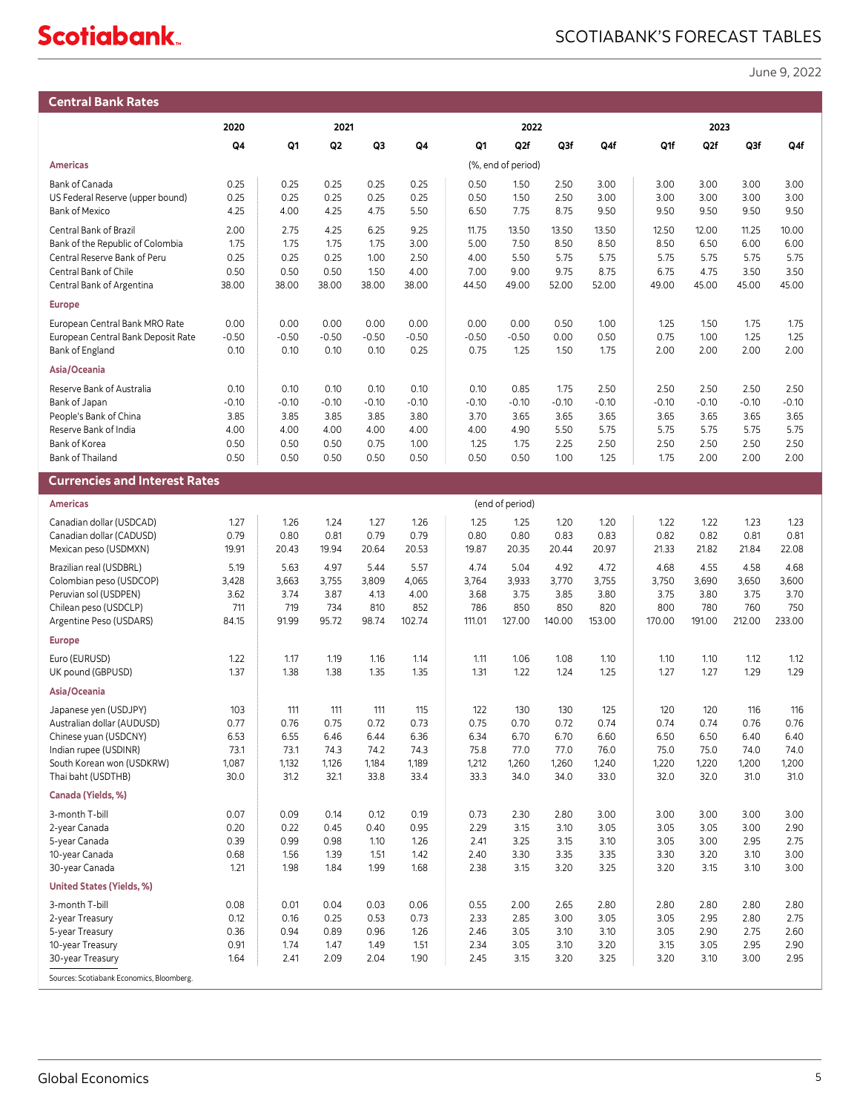# **Scotiabank**

## SCOTIABANK'S FORECAST TABLES

June 9, 2022

| <b>Central Bank Rates</b>                                                                                                                                |                                                 |                                                 |                                                 |                                                 |                                                 |                                                 |                                                 |                                                 |                                                 |                                                 |                                                 |                                                 |                                                 |
|----------------------------------------------------------------------------------------------------------------------------------------------------------|-------------------------------------------------|-------------------------------------------------|-------------------------------------------------|-------------------------------------------------|-------------------------------------------------|-------------------------------------------------|-------------------------------------------------|-------------------------------------------------|-------------------------------------------------|-------------------------------------------------|-------------------------------------------------|-------------------------------------------------|-------------------------------------------------|
|                                                                                                                                                          | 2020                                            |                                                 | 2021                                            |                                                 |                                                 |                                                 | 2022                                            |                                                 |                                                 |                                                 | 2023                                            |                                                 |                                                 |
|                                                                                                                                                          | Q4                                              | Q1                                              | Q2                                              | Q3                                              | Q4                                              | Q1                                              | Q2f                                             | Q3f                                             | Q4f                                             | Q1f                                             | Q2f                                             | Q3f                                             | Q4f                                             |
| <b>Americas</b>                                                                                                                                          |                                                 |                                                 |                                                 |                                                 |                                                 |                                                 | (%, end of period)                              |                                                 |                                                 |                                                 |                                                 |                                                 |                                                 |
| Bank of Canada<br>US Federal Reserve (upper bound)<br><b>Bank of Mexico</b>                                                                              | 0.25<br>0.25<br>4.25                            | 0.25<br>0.25<br>4.00                            | 0.25<br>0.25<br>4.25                            | 0.25<br>0.25<br>4.75                            | 0.25<br>0.25<br>5.50                            | 0.50<br>0.50<br>6.50                            | 1.50<br>1.50<br>7.75                            | 2.50<br>2.50<br>8.75                            | 3.00<br>3.00<br>9.50                            | 3.00<br>3.00<br>9.50                            | 3.00<br>3.00<br>9.50                            | 3.00<br>3.00<br>9.50                            | 3.00<br>3.00<br>9.50                            |
| Central Bank of Brazil<br>Bank of the Republic of Colombia<br>Central Reserve Bank of Peru<br>Central Bank of Chile<br>Central Bank of Argentina         | 2.00<br>1.75<br>0.25<br>0.50<br>38.00           | 2.75<br>1.75<br>0.25<br>0.50<br>38.00           | 4.25<br>1.75<br>0.25<br>0.50<br>38.00           | 6.25<br>1.75<br>1.00<br>1.50<br>38.00           | 9.25<br>3.00<br>2.50<br>4.00<br>38.00           | 11.75<br>5.00<br>4.00<br>7.00<br>44.50          | 13.50<br>7.50<br>5.50<br>9.00<br>49.00          | 13.50<br>8.50<br>5.75<br>9.75<br>52.00          | 13.50<br>8.50<br>5.75<br>8.75<br>52.00          | 12.50<br>8.50<br>5.75<br>6.75<br>49.00          | 12.00<br>6.50<br>5.75<br>4.75<br>45.00          | 11.25<br>6.00<br>5.75<br>3.50<br>45.00          | 10.00<br>6.00<br>5.75<br>3.50<br>45.00          |
| <b>Europe</b>                                                                                                                                            |                                                 |                                                 |                                                 |                                                 |                                                 |                                                 |                                                 |                                                 |                                                 |                                                 |                                                 |                                                 |                                                 |
| European Central Bank MRO Rate<br>European Central Bank Deposit Rate<br>Bank of England                                                                  | 0.00<br>$-0.50$<br>0.10                         | 0.00<br>$-0.50$<br>0.10                         | 0.00<br>$-0.50$<br>0.10                         | 0.00<br>$-0.50$<br>0.10                         | 0.00<br>$-0.50$<br>0.25                         | 0.00<br>$-0.50$<br>0.75                         | 0.00<br>$-0.50$<br>1.25                         | 0.50<br>0.00<br>1.50                            | 1.00<br>0.50<br>1.75                            | 1.25<br>0.75<br>2.00                            | 1.50<br>1.00<br>2.00                            | 1.75<br>1.25<br>2.00                            | 1.75<br>1.25<br>2.00                            |
| Asia/Oceania                                                                                                                                             |                                                 |                                                 |                                                 |                                                 |                                                 |                                                 |                                                 |                                                 |                                                 |                                                 |                                                 |                                                 |                                                 |
| Reserve Bank of Australia<br>Bank of Japan<br>People's Bank of China<br>Reserve Bank of India<br>Bank of Korea<br>Bank of Thailand                       | 0.10<br>$-0.10$<br>3.85<br>4.00<br>0.50<br>0.50 | 0.10<br>$-0.10$<br>3.85<br>4.00<br>0.50<br>0.50 | 0.10<br>$-0.10$<br>3.85<br>4.00<br>0.50<br>0.50 | 0.10<br>$-0.10$<br>3.85<br>4.00<br>0.75<br>0.50 | 0.10<br>$-0.10$<br>3.80<br>4.00<br>1.00<br>0.50 | 0.10<br>$-0.10$<br>3.70<br>4.00<br>1.25<br>0.50 | 0.85<br>$-0.10$<br>3.65<br>4.90<br>1.75<br>0.50 | 1.75<br>$-0.10$<br>3.65<br>5.50<br>2.25<br>1.00 | 2.50<br>$-0.10$<br>3.65<br>5.75<br>2.50<br>1.25 | 2.50<br>$-0.10$<br>3.65<br>5.75<br>2.50<br>1.75 | 2.50<br>$-0.10$<br>3.65<br>5.75<br>2.50<br>2.00 | 2.50<br>$-0.10$<br>3.65<br>5.75<br>2.50<br>2.00 | 2.50<br>$-0.10$<br>3.65<br>5.75<br>2.50<br>2.00 |
| <b>Currencies and Interest Rates</b>                                                                                                                     |                                                 |                                                 |                                                 |                                                 |                                                 |                                                 |                                                 |                                                 |                                                 |                                                 |                                                 |                                                 |                                                 |
| <b>Americas</b>                                                                                                                                          |                                                 |                                                 |                                                 |                                                 |                                                 |                                                 | (end of period)                                 |                                                 |                                                 |                                                 |                                                 |                                                 |                                                 |
| Canadian dollar (USDCAD)<br>Canadian dollar (CADUSD)<br>Mexican peso (USDMXN)                                                                            | 1.27<br>0.79<br>19.91                           | 1.26<br>0.80<br>20.43                           | 1.24<br>0.81<br>19.94                           | 1.27<br>0.79<br>20.64                           | 1.26<br>0.79<br>20.53                           | 1.25<br>0.80<br>19.87                           | 1.25<br>0.80<br>20.35                           | 1.20<br>0.83<br>20.44                           | 1.20<br>0.83<br>20.97                           | 1.22<br>0.82<br>21.33                           | 1.22<br>0.82<br>21.82                           | 1.23<br>0.81<br>21.84                           | 1.23<br>0.81<br>22.08                           |
| Brazilian real (USDBRL)<br>Colombian peso (USDCOP)<br>Peruvian sol (USDPEN)<br>Chilean peso (USDCLP)<br>Argentine Peso (USDARS)                          | 5.19<br>3,428<br>3.62<br>711<br>84.15           | 5.63<br>3,663<br>3.74<br>719<br>91.99           | 4.97<br>3,755<br>3.87<br>734<br>95.72           | 5.44<br>3,809<br>4.13<br>810<br>98.74           | 5.57<br>4,065<br>4.00<br>852<br>102.74          | 4.74<br>3,764<br>3.68<br>786<br>111.01          | 5.04<br>3,933<br>3.75<br>850<br>127.00          | 4.92<br>3,770<br>3.85<br>850<br>140.00          | 4.72<br>3,755<br>3.80<br>820<br>153.00          | 4.68<br>3,750<br>3.75<br>800<br>170.00          | 4.55<br>3,690<br>3.80<br>780<br>191.00          | 4.58<br>3,650<br>3.75<br>760<br>212.00          | 4.68<br>3,600<br>3.70<br>750<br>233.00          |
| <b>Europe</b>                                                                                                                                            |                                                 |                                                 |                                                 |                                                 |                                                 |                                                 |                                                 |                                                 |                                                 |                                                 |                                                 |                                                 |                                                 |
| Euro (EURUSD)<br>UK pound (GBPUSD)<br>Asia/Oceania                                                                                                       | 1.22<br>1.37                                    | 1.17<br>1.38                                    | 1.19<br>1.38                                    | 1.16<br>1.35                                    | 1.14<br>1.35                                    | 1.11<br>1.31                                    | 1.06<br>1.22                                    | 1.08<br>1.24                                    | 1.10<br>1.25                                    | 1.10<br>1.27                                    | 1.10<br>1.27                                    | 1.12<br>1.29                                    | 1.12<br>1.29                                    |
| Japanese yen (USDJPY)<br>Australian dollar (AUDUSD)<br>Chinese yuan (USDCNY)<br>Indian rupee (USDINR)<br>South Korean won (USDKRW)<br>Thai baht (USDTHB) | 103<br>0.77<br>6.53<br>73.1<br>1,087<br>30.0    | 111<br>0.76<br>6.55<br>73.1<br>1,132<br>31.2    | 111<br>0.75<br>6.46<br>74.3<br>1,126<br>32.1    | 111<br>0.72<br>6.44<br>74.2<br>1,184<br>33.8    | 115<br>0.73<br>6.36<br>74.3<br>1,189<br>33.4    | 122<br>0.75<br>6.34<br>75.8<br>1,212<br>33.3    | 130<br>0.70<br>6.70<br>77.0<br>1,260<br>34.0    | 130<br>0.72<br>6.70<br>77.0<br>1,260<br>34.0    | 125<br>0.74<br>6.60<br>76.0<br>1,240<br>33.0    | 120<br>0.74<br>6.50<br>75.0<br>1,220<br>32.0    | 120<br>0.74<br>6.50<br>75.0<br>1,220<br>32.0    | 116<br>0.76<br>6.40<br>74.0<br>1,200<br>31.0    | 116<br>0.76<br>6.40<br>74.0<br>1,200<br>31.0    |
| Canada (Yields, %)                                                                                                                                       |                                                 |                                                 |                                                 |                                                 |                                                 |                                                 |                                                 |                                                 |                                                 |                                                 |                                                 |                                                 |                                                 |
| 3-month T-bill<br>2-year Canada<br>5-year Canada<br>10-year Canada<br>30-year Canada                                                                     | 0.07<br>0.20<br>0.39<br>0.68<br>1.21            | 0.09<br>0.22<br>0.99<br>1.56<br>1.98            | 0.14<br>0.45<br>0.98<br>1.39<br>1.84            | 0.12<br>0.40<br>1.10<br>1.51<br>1.99            | 0.19<br>0.95<br>1.26<br>1.42<br>1.68            | 0.73<br>2.29<br>2.41<br>2.40<br>2.38            | 2.30<br>3.15<br>3.25<br>3.30<br>3.15            | 2.80<br>3.10<br>3.15<br>3.35<br>3.20            | 3.00<br>3.05<br>3.10<br>3.35<br>3.25            | 3.00<br>3.05<br>3.05<br>3.30<br>3.20            | 3.00<br>3.05<br>3.00<br>3.20<br>3.15            | 3.00<br>3.00<br>2.95<br>3.10<br>3.10            | 3.00<br>2.90<br>2.75<br>3.00<br>3.00            |
| <b>United States (Yields, %)</b>                                                                                                                         |                                                 |                                                 |                                                 |                                                 |                                                 |                                                 |                                                 |                                                 |                                                 |                                                 |                                                 |                                                 |                                                 |
| 3-month T-bill<br>2-year Treasury<br>5-year Treasury<br>10-year Treasury<br>30-year Treasury<br>Sources: Scotiabank Economics, Bloomberg.                | 0.08<br>0.12<br>0.36<br>0.91<br>1.64            | 0.01<br>0.16<br>0.94<br>1.74<br>2.41            | 0.04<br>0.25<br>0.89<br>1.47<br>2.09            | 0.03<br>0.53<br>0.96<br>1.49<br>2.04            | 0.06<br>0.73<br>1.26<br>1.51<br>1.90            | 0.55<br>2.33<br>2.46<br>2.34<br>2.45            | 2.00<br>2.85<br>3.05<br>3.05<br>3.15            | 2.65<br>3.00<br>3.10<br>3.10<br>3.20            | 2.80<br>3.05<br>3.10<br>3.20<br>3.25            | 2.80<br>3.05<br>3.05<br>3.15<br>3.20            | 2.80<br>2.95<br>2.90<br>3.05<br>3.10            | 2.80<br>2.80<br>2.75<br>2.95<br>3.00            | 2.80<br>2.75<br>2.60<br>2.90<br>2.95            |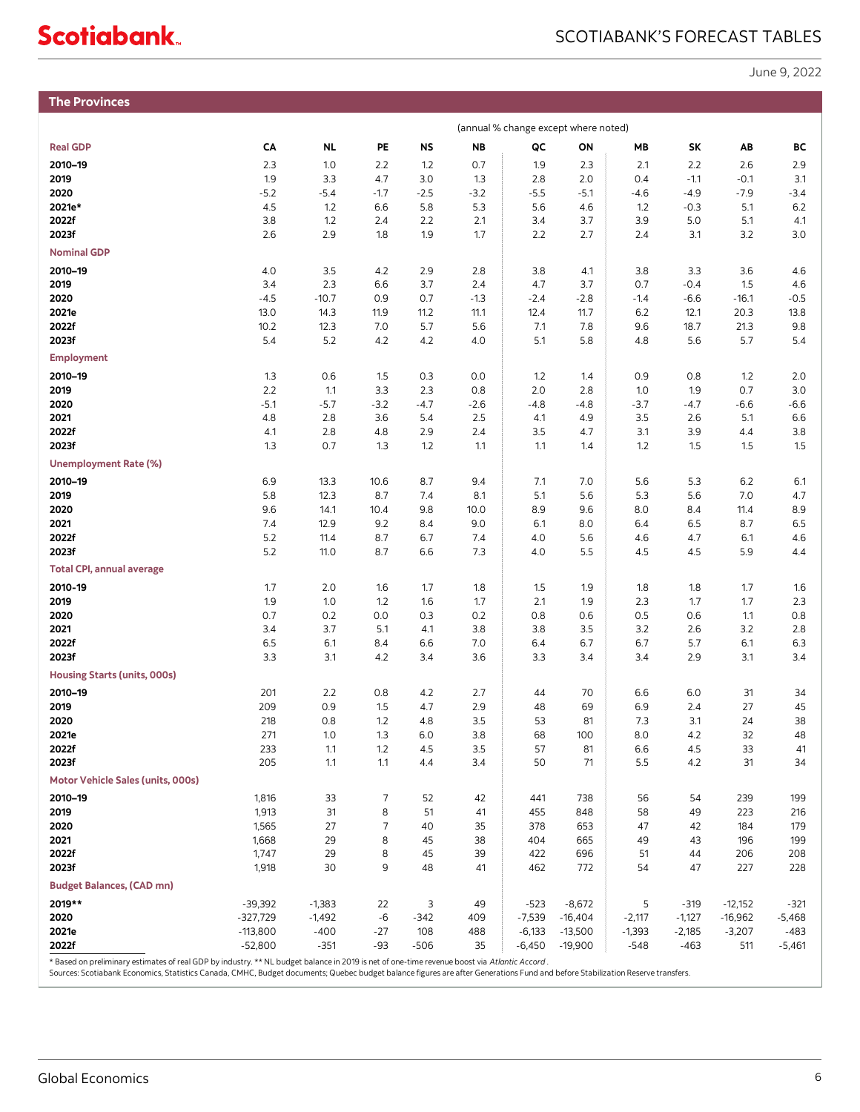# **Scotiabank**

## SCOTIABANK'S FORECAST TABLES

June 9, 2022

|                                     |                |                |                     |            |            |            |                                      |            |               |             | June 9, 202 |
|-------------------------------------|----------------|----------------|---------------------|------------|------------|------------|--------------------------------------|------------|---------------|-------------|-------------|
| <b>The Provinces</b>                |                |                |                     |            |            |            |                                      |            |               |             |             |
|                                     |                |                |                     |            |            |            | (annual % change except where noted) |            |               |             |             |
| <b>Real GDP</b>                     | CA             | <b>NL</b>      | PE                  | NS         | <b>NB</b>  | QC         | ON                                   | MB         | SK            | AB          | BC          |
| 2010-19                             | 2.3            | 1.0            | 2.2                 | 1.2        | 0.7        | 1.9        | 2.3                                  | 2.1        | 2.2           | 2.6         | 2.9         |
| 2019                                | 1.9            | 3.3            | 4.7                 | 3.0        | 1.3        | 2.8        | 2.0                                  | 0.4        | $-1.1$        | $-0.1$      | 3.1         |
| 2020                                | $-5.2$         | $-5.4$         | $-1.7$              | $-2.5$     | $-3.2$     | $-5.5$     | $-5.1$                               | $-4.6$     | $-4.9$        | $-7.9$      | $-3.4$      |
| 2021e*<br>2022f                     | 4.5<br>3.8     | 1.2<br>1.2     | 6.6<br>2.4          | 5.8<br>2.2 | 5.3<br>2.1 | 5.6<br>3.4 | 4.6<br>3.7                           | 1.2<br>3.9 | $-0.3$<br>5.0 | 5.1<br>5.1  | 6.2<br>4.1  |
| 2023f                               | 2.6            | 2.9            | 1.8                 | 1.9        | 1.7        | 2.2        | 2.7                                  | 2.4        | 3.1           | 3.2         | 3.0         |
| <b>Nominal GDP</b>                  |                |                |                     |            |            |            |                                      |            |               |             |             |
| 2010-19                             | 4.0            | 3.5            | 4.2                 | 2.9        | 2.8        | 3.8        | 4.1                                  | 3.8        | 3.3           | 3.6         | 4.6         |
| 2019                                | 3.4            | 2.3            | 6.6                 | 3.7        | 2.4        | 4.7        | 3.7                                  | 0.7        | $-0.4$        | 1.5         | 4.6         |
| 2020                                | $-4.5$         | $-10.7$        | 0.9                 | 0.7        | $-1.3$     | $-2.4$     | $-2.8$                               | $-1.4$     | $-6.6$        | $-16.1$     | $-0.5$      |
| 2021e                               | 13.0           | 14.3           | 11.9                | 11.2       | 11.1       | 12.4       | 11.7                                 | 6.2        | 12.1          | 20.3        | 13.8        |
| 2022f<br>2023f                      | 10.2<br>5.4    | 12.3<br>5.2    | 7.0<br>4.2          | 5.7<br>4.2 | 5.6<br>4.0 | 7.1<br>5.1 | 7.8<br>5.8                           | 9.6<br>4.8 | 18.7<br>5.6   | 21.3<br>5.7 | 9.8<br>5.4  |
| <b>Employment</b>                   |                |                |                     |            |            |            |                                      |            |               |             |             |
| 2010-19                             | 1.3            | 0.6            | 1.5                 | 0.3        | 0.0        | 1.2        | 1.4                                  | 0.9        | 0.8           | 1.2         | 2.0         |
| 2019                                | 2.2            | 1.1            | 3.3                 | 2.3        | 0.8        | 2.0        | 2.8                                  | 1.0        | 1.9           | 0.7         | 3.0         |
| 2020                                | $-5.1$         | $-5.7$         | $-3.2$              | $-4.7$     | $-2.6$     | $-4.8$     | $-4.8$                               | $-3.7$     | $-4.7$        | $-6.6$      | $-6.6$      |
| 2021                                | $4.8\,$        | 2.8            | 3.6                 | 5.4        | 2.5        | 4.1        | 4.9                                  | 3.5        | 2.6           | 5.1         | 6.6         |
| 2022f                               | 4.1            | 2.8            | 4.8                 | 2.9        | 2.4        | 3.5        | 4.7                                  | 3.1        | 3.9           | 4.4         | 3.8         |
| 2023f                               | 1.3            | 0.7            | 1.3                 | 1.2        | 1.1        | 1.1        | 1.4                                  | 1.2        | 1.5           | 1.5         | 1.5         |
| <b>Unemployment Rate (%)</b>        |                |                |                     |            |            |            |                                      |            |               |             |             |
| 2010-19<br>2019                     | 6.9<br>5.8     | 13.3<br>12.3   | 10.6<br>8.7         | 8.7<br>7.4 | 9.4<br>8.1 | 7.1<br>5.1 | 7.0<br>5.6                           | 5.6<br>5.3 | 5.3<br>5.6    | 6.2<br>7.0  | 6.1<br>4.7  |
| 2020                                | 9.6            | 14.1           | 10.4                | 9.8        | 10.0       | 8.9        | 9.6                                  | 8.0        | 8.4           | 11.4        | 8.9         |
| 2021                                | 7.4            | 12.9           | 9.2                 | 8.4        | 9.0        | 6.1        | 8.0                                  | 6.4        | 6.5           | 8.7         | 6.5         |
| 2022f                               | 5.2            | 11.4           | 8.7                 | 6.7        | 7.4        | 4.0        | 5.6                                  | 4.6        | 4.7           | 6.1         | 4.6         |
| 2023f                               | 5.2            | 11.0           | 8.7                 | 6.6        | 7.3        | 4.0        | 5.5                                  | 4.5        | 4.5           | 5.9         | 4.4         |
| <b>Total CPI, annual average</b>    |                |                |                     |            |            |            |                                      |            |               |             |             |
| 2010-19                             | 1.7            | 2.0            | 1.6                 | 1.7        | 1.8        | 1.5        | 1.9                                  | 1.8        | 1.8           | 1.7         | 1.6         |
| 2019                                | 1.9<br>0.7     | 1.0            | 1.2                 | 1.6<br>0.3 | 1.7        | 2.1        | 1.9                                  | 2.3        | 1.7           | 1.7         | 2.3<br>0.8  |
| 2020<br>2021                        | 3.4            | 0.2<br>3.7     | 0.0<br>5.1          | 4.1        | 0.2<br>3.8 | 0.8<br>3.8 | 0.6<br>3.5                           | 0.5<br>3.2 | 0.6<br>2.6    | 1.1<br>3.2  | 2.8         |
| 2022f                               | 6.5            | 6.1            | 8.4                 | 6.6        | 7.0        | 6.4        | 6.7                                  | 6.7        | 5.7           | 6.1         | 6.3         |
| 2023f                               | 3.3            | 3.1            | 4.2                 | 3.4        | 3.6        | 3.3        | 3.4                                  | 3.4        | 2.9           | 3.1         | 3.4         |
| <b>Housing Starts (units, 000s)</b> |                |                |                     |            |            |            |                                      |            |               |             |             |
| 2010–19                             | 201            | 2.2            | 0.8                 | 4.2        | 2.7        | 44         | 70                                   | 6.6        | 6.0           | 31          | 34          |
| 2019                                | 209            | 0.9            | 1.5                 | 4.7        | 2.9        | 48         | 69                                   | 6.9        | $2.4$         | 27          | 45          |
| 2020<br>2021e                       | 218<br>271     | $0.8\,$<br>1.0 | 1.2<br>1.3          | 4.8<br>6.0 | 3.5<br>3.8 | 53<br>68   | 81<br>100                            | 7.3<br>8.0 | 3.1<br>4.2    | 24<br>32    | 38<br>48    |
| 2022f                               | 233            | 1.1            | 1.2                 | 4.5        | 3.5        | 57         | 81                                   | 6.6        | $4.5\,$       | 33          | 41          |
| 2023f                               | 205            | 1.1            | 1.1                 | 4.4        | 3.4        | 50         | 71                                   | 5.5        | 4.2           | 31          | 34          |
| Motor Vehicle Sales (units, 000s)   |                |                |                     |            |            |            |                                      |            |               |             |             |
| 2010-19                             | 1,816          | 33             | 7                   | 52         | 42         | 441        | 738                                  | 56         | 54            | 239         | 199         |
| 2019                                | 1,913          | 31             | 8                   | 51         | 41         | 455        | 848                                  | 58         | 49            | 223         | 216         |
| 2020<br>2021                        | 1,565<br>1,668 | 27<br>29       | $\overline{7}$<br>8 | 40<br>45   | 35<br>38   | 378<br>404 | 653<br>665                           | 47<br>49   | 42<br>43      | 184<br>196  | 179<br>199  |
| 2022f                               | 1,747          | 29             | 8                   | 45         | 39         | 422        | 696                                  | 51         | 44            | 206         | 208         |
| 2023f                               | 1,918          | 30             | 9                   | 48         | 41         | 462        | 772                                  | 54         | 47            | 227         | 228         |
| <b>Budget Balances, (CAD mn)</b>    |                |                |                     |            |            |            |                                      |            |               |             |             |
| 2019**                              | $-39,392$      | $-1,383$       | 22                  | 3          | 49         | $-523$     | $-8,672$                             | 5          | $-319$        | $-12,152$   | $-321$      |
| 2020                                | $-327,729$     | $-1,492$       | $-6$                | -342       | 409        | $-7,539$   | $-16,404$                            | $-2,117$   | $-1,127$      | $-16,962$   | $-5,468$    |
| 2021e                               | $-113,800$     | $-400$         | $-27$               | 108        | 488        | $-6,133$   | $-13,500$                            | $-1,393$   | $-2,185$      | $-3,207$    | $-483$      |
| 2022f                               | $-52,800$      | $-351$         | $-93$               | $-506$     | 35         | $-6,450$   | $-19,900$                            | $-548$     | -463          | 511         | $-5,461$    |

\* Based on preliminary estimates of real GDP by industry. \*\* NL budget balance in 2019 is net of one-time revenue boost via *Atlontic Accord .*<br>Sources: Scotiabank Economics, Statistics Canada, CMHC, Budget documents; Queb